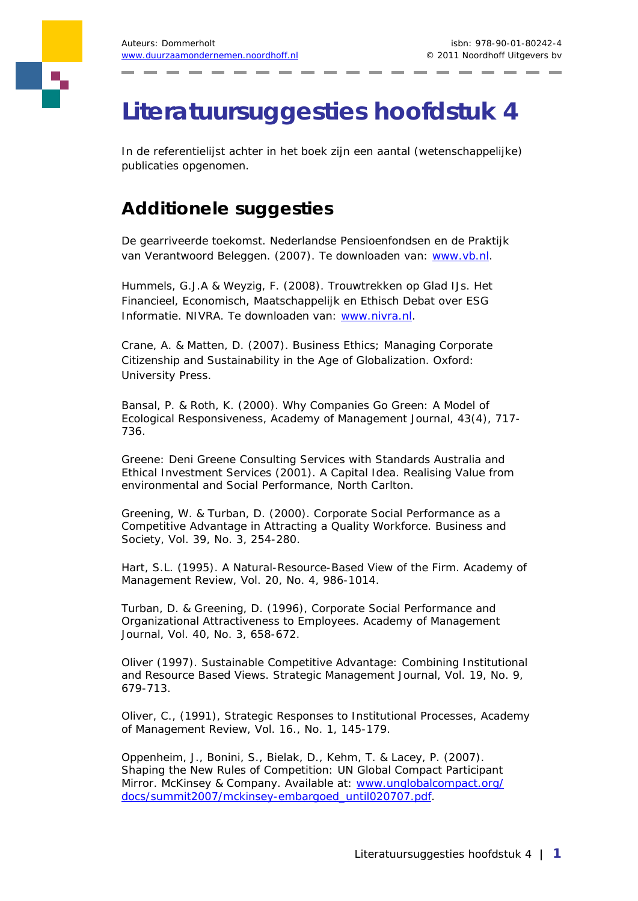## **Literatuursuggesties hoofdstuk 4**

In de referentielijst achter in het boek zijn een aantal (wetenschappelijke) publicaties opgenomen.

## **Additionele suggesties**

De gearriveerde toekomst. Nederlandse Pensioenfondsen en de Praktijk van Verantwoord Beleggen. (2007). Te downloaden van: www.vb.nl.

Hummels, G.J.A & Weyzig, F. (2008). Trouwtrekken op Glad IJs. Het Financieel, Economisch, Maatschappelijk en Ethisch Debat over ESG Informatie. NIVRA. Te downloaden van: www.nivra.nl.

Crane, A. & Matten, D. (2007). Business Ethics; Managing Corporate Citizenship and Sustainability in the Age of Globalization. Oxford: University Press.

Bansal, P. & Roth, K. (2000). Why Companies Go Green: A Model of Ecological Responsiveness, *Academy of Management Journal*, 43(4), 717- 736.

Greene: Deni Greene Consulting Services with Standards Australia and Ethical Investment Services (2001). A Capital Idea. Realising Value from environmental and Social Performance, North Carlton.

Greening, W. & Turban, D. (2000). Corporate Social Performance as a Competitive Advantage in Attracting a Quality Workforce. *Business and Society*, Vol. 39, No. 3, 254-280.

Hart, S.L. (1995). A Natural-Resource-Based View of the Firm. *Academy of Management Review*, Vol. 20, No. 4, 986-1014.

Turban, D. & Greening, D. (1996), Corporate Social Performance and Organizational Attractiveness to Employees. *Academy of Management Journal*, Vol. 40, No. 3, 658-672.

Oliver (1997). Sustainable Competitive Advantage: Combining Institutional and Resource Based Views. *Strategic Management Journal*, Vol. 19, No. 9, 679-713.

Oliver, C., (1991), Strategic Responses to Institutional Processes, Academy of Management Review, Vol. 16., No. 1, 145-179.

Oppenheim, J., Bonini, S., Bielak, D., Kehm, T. & Lacey, P. (2007). Shaping the New Rules of Competition: UN Global Compact Participant Mirror. McKinsey & Company. Available at: www.unglobalcompact.org/ docs/summit2007/mckinsey-embargoed\_until020707.pdf.